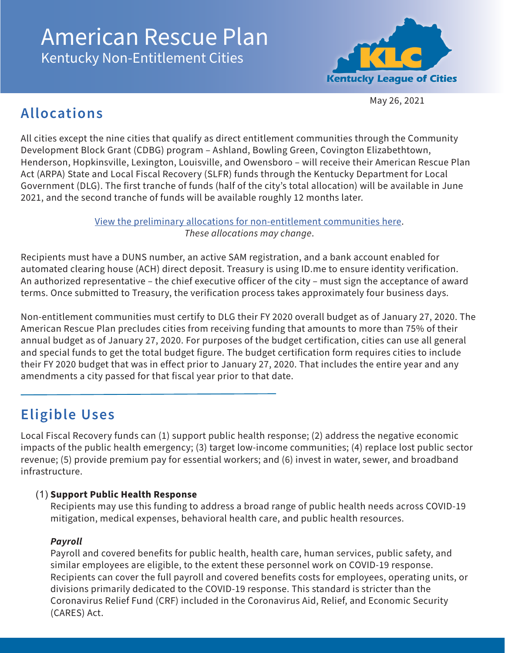# American Rescue Plan Kentucky Non-Entitlement Cities

**Kentucky League of Cities** 

May 26, 2021

## **Allocations**

All cities except the nine cities that qualify as direct entitlement communities through the Community Development Block Grant (CDBG) program – Ashland, Bowling Green, Covington Elizabethtown, Henderson, Hopkinsville, Lexington, Louisville, and Owensboro – will receive their American Rescue Plan Act (ARPA) State and Local Fiscal Recovery (SLFR) funds through the Kentucky Department for Local Government (DLG). The first tranche of funds (half of the city's total allocation) will be available in June 2021, and the second tranche of funds will be available roughly 12 months later.

> [View the preliminary allocations for non-entitlement communities here.](http://www.klc.org/userfiles/files/ARPAAllocationsKYCities20210525.pdf) *These allocations may change*.

Recipients must have a DUNS number, an active SAM registration, and a bank account enabled for automated clearing house (ACH) direct deposit. Treasury is using ID.me to ensure identity verification. An authorized representative – the chief executive officer of the city – must sign the acceptance of award terms. Once submitted to Treasury, the verification process takes approximately four business days.

Non-entitlement communities must certify to DLG their FY 2020 overall budget as of January 27, 2020. The American Rescue Plan precludes cities from receiving funding that amounts to more than 75% of their annual budget as of January 27, 2020. For purposes of the budget certification, cities can use all general and special funds to get the total budget figure. The budget certification form requires cities to include their FY 2020 budget that was in effect prior to January 27, 2020. That includes the entire year and any amendments a city passed for that fiscal year prior to that date.

## **Eligible Uses**

Local Fiscal Recovery funds can (1) support public health response; (2) address the negative economic impacts of the public health emergency; (3) target low-income communities; (4) replace lost public sector revenue; (5) provide premium pay for essential workers; and (6) invest in water, sewer, and broadband infrastructure.

#### (1) **Support Public Health Response**

Recipients may use this funding to address a broad range of public health needs across COVID-19 mitigation, medical expenses, behavioral health care, and public health resources.

#### *Payroll*

Payroll and covered benefits for public health, health care, human services, public safety, and similar employees are eligible, to the extent these personnel work on COVID-19 response. Recipients can cover the full payroll and covered benefits costs for employees, operating units, or divisions primarily dedicated to the COVID-19 response. This standard is stricter than the Coronavirus Relief Fund (CRF) included in the Coronavirus Aid, Relief, and Economic Security (CARES) Act.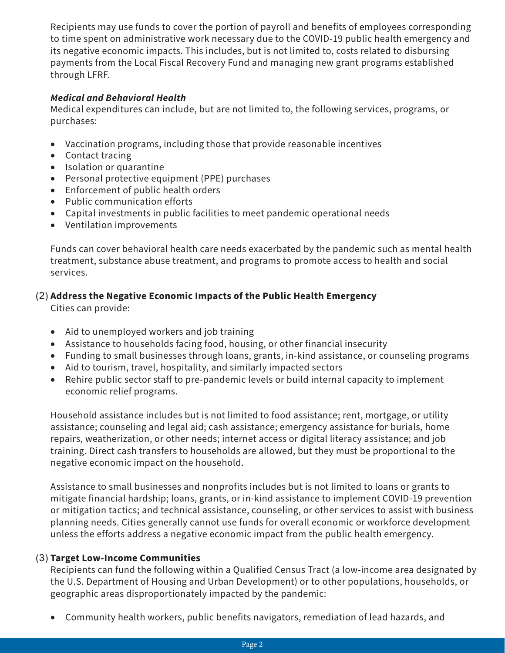Recipients may use funds to cover the portion of payroll and benefits of employees corresponding to time spent on administrative work necessary due to the COVID-19 public health emergency and its negative economic impacts. This includes, but is not limited to, costs related to disbursing payments from the Local Fiscal Recovery Fund and managing new grant programs established through LFRF.

#### *Medical and Behavioral Health*

Medical expenditures can include, but are not limited to, the following services, programs, or purchases:

- Vaccination programs, including those that provide reasonable incentives
- Contact tracing
- • Isolation or quarantine
- Personal protective equipment (PPE) purchases
- • Enforcement of public health orders
- • Public communication efforts
- Capital investments in public facilities to meet pandemic operational needs
- • Ventilation improvements

Funds can cover behavioral health care needs exacerbated by the pandemic such as mental health treatment, substance abuse treatment, and programs to promote access to health and social services.

#### (2) **Address the Negative Economic Impacts of the Public Health Emergency**

Cities can provide:

- Aid to unemployed workers and job training
- Assistance to households facing food, housing, or other financial insecurity
- Funding to small businesses through loans, grants, in-kind assistance, or counseling programs
- Aid to tourism, travel, hospitality, and similarly impacted sectors
- Rehire public sector staff to pre-pandemic levels or build internal capacity to implement economic relief programs.

Household assistance includes but is not limited to food assistance; rent, mortgage, or utility assistance; counseling and legal aid; cash assistance; emergency assistance for burials, home repairs, weatherization, or other needs; internet access or digital literacy assistance; and job training. Direct cash transfers to households are allowed, but they must be proportional to the negative economic impact on the household.

Assistance to small businesses and nonprofits includes but is not limited to loans or grants to mitigate financial hardship; loans, grants, or in-kind assistance to implement COVID-19 prevention or mitigation tactics; and technical assistance, counseling, or other services to assist with business planning needs. Cities generally cannot use funds for overall economic or workforce development unless the efforts address a negative economic impact from the public health emergency.

#### (3) **Target Low-Income Communities**

Recipients can fund the following within a Qualified Census Tract (a low-income area designated by the U.S. Department of Housing and Urban Development) or to other populations, households, or geographic areas disproportionately impacted by the pandemic:

• Community health workers, public benefits navigators, remediation of lead hazards, and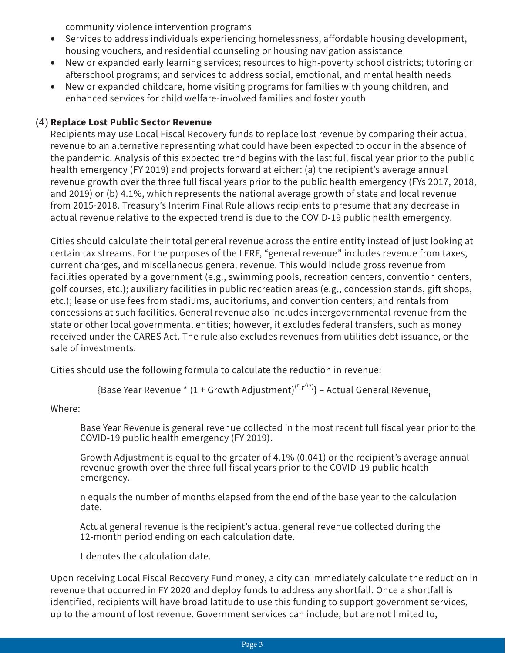community violence intervention programs

- Services to address individuals experiencing homelessness, affordable housing development, housing vouchers, and residential counseling or housing navigation assistance
- New or expanded early learning services; resources to high-poverty school districts; tutoring or afterschool programs; and services to address social, emotional, and mental health needs
- New or expanded childcare, home visiting programs for families with young children, and enhanced services for child welfare-involved families and foster youth

#### (4) **Replace Lost Public Sector Revenue**

Recipients may use Local Fiscal Recovery funds to replace lost revenue by comparing their actual revenue to an alternative representing what could have been expected to occur in the absence of the pandemic. Analysis of this expected trend begins with the last full fiscal year prior to the public health emergency (FY 2019) and projects forward at either: (a) the recipient's average annual revenue growth over the three full fiscal years prior to the public health emergency (FYs 2017, 2018, and 2019) or (b) 4.1%, which represents the national average growth of state and local revenue from 2015-2018. Treasury's Interim Final Rule allows recipients to presume that any decrease in actual revenue relative to the expected trend is due to the COVID-19 public health emergency.

Cities should calculate their total general revenue across the entire entity instead of just looking at certain tax streams. For the purposes of the LFRF, "general revenue" includes revenue from taxes, current charges, and miscellaneous general revenue. This would include gross revenue from facilities operated by a government (e.g., swimming pools, recreation centers, convention centers, golf courses, etc.); auxiliary facilities in public recreation areas (e.g., concession stands, gift shops, etc.); lease or use fees from stadiums, auditoriums, and convention centers; and rentals from concessions at such facilities. General revenue also includes intergovernmental revenue from the state or other local governmental entities; however, it excludes federal transfers, such as money received under the CARES Act. The rule also excludes revenues from utilities debt issuance, or the sale of investments.

Cities should use the following formula to calculate the reduction in revenue:

{Base Year Revenue \* (1 + Growth Adjustment) $^{\mathsf{(n_{t'}\!\!+\!\!2)}}$ } – Actual General Revenue<sub>t</sub>

Where:

Base Year Revenue is general revenue collected in the most recent full fiscal year prior to the COVID-19 public health emergency (FY 2019).

Growth Adjustment is equal to the greater of 4.1% (0.041) or the recipient's average annual revenue growth over the three full fiscal years prior to the COVID-19 public health emergency.

n equals the number of months elapsed from the end of the base year to the calculation date.

Actual general revenue is the recipient's actual general revenue collected during the 12-month period ending on each calculation date.

t denotes the calculation date.

Upon receiving Local Fiscal Recovery Fund money, a city can immediately calculate the reduction in revenue that occurred in FY 2020 and deploy funds to address any shortfall. Once a shortfall is identified, recipients will have broad latitude to use this funding to support government services, up to the amount of lost revenue. Government services can include, but are not limited to,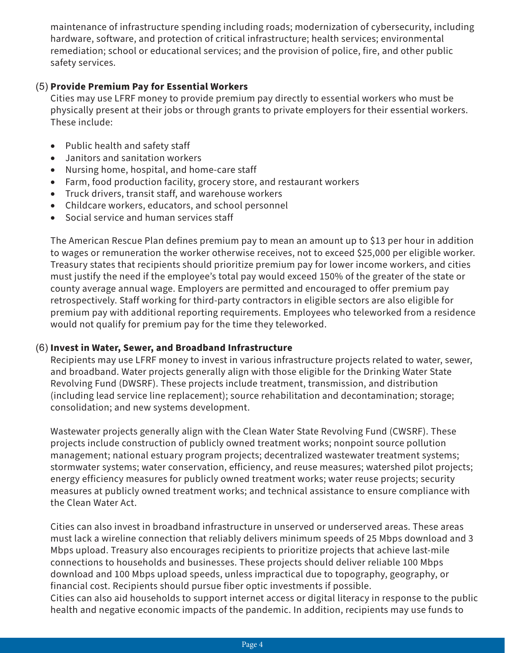maintenance of infrastructure spending including roads; modernization of cybersecurity, including hardware, software, and protection of critical infrastructure; health services; environmental remediation; school or educational services; and the provision of police, fire, and other public safety services.

#### (5) **Provide Premium Pay for Essential Workers**

Cities may use LFRF money to provide premium pay directly to essential workers who must be physically present at their jobs or through grants to private employers for their essential workers. These include:

- • Public health and safety staff
- Janitors and sanitation workers
- Nursing home, hospital, and home-care staff
- Farm, food production facility, grocery store, and restaurant workers
- • Truck drivers, transit staff, and warehouse workers
- Childcare workers, educators, and school personnel
- Social service and human services staff

The American Rescue Plan defines premium pay to mean an amount up to \$13 per hour in addition to wages or remuneration the worker otherwise receives, not to exceed \$25,000 per eligible worker. Treasury states that recipients should prioritize premium pay for lower income workers, and cities must justify the need if the employee's total pay would exceed 150% of the greater of the state or county average annual wage. Employers are permitted and encouraged to offer premium pay retrospectively. Staff working for third-party contractors in eligible sectors are also eligible for premium pay with additional reporting requirements. Employees who teleworked from a residence would not qualify for premium pay for the time they teleworked.

#### (6) **Invest in Water, Sewer, and Broadband Infrastructure**

Recipients may use LFRF money to invest in various infrastructure projects related to water, sewer, and broadband. Water projects generally align with those eligible for the Drinking Water State Revolving Fund (DWSRF). These projects include treatment, transmission, and distribution (including lead service line replacement); source rehabilitation and decontamination; storage; consolidation; and new systems development.

Wastewater projects generally align with the Clean Water State Revolving Fund (CWSRF). These projects include construction of publicly owned treatment works; nonpoint source pollution management; national estuary program projects; decentralized wastewater treatment systems; stormwater systems; water conservation, efficiency, and reuse measures; watershed pilot projects; energy efficiency measures for publicly owned treatment works; water reuse projects; security measures at publicly owned treatment works; and technical assistance to ensure compliance with the Clean Water Act.

Cities can also invest in broadband infrastructure in unserved or underserved areas. These areas must lack a wireline connection that reliably delivers minimum speeds of 25 Mbps download and 3 Mbps upload. Treasury also encourages recipients to prioritize projects that achieve last-mile connections to households and businesses. These projects should deliver reliable 100 Mbps download and 100 Mbps upload speeds, unless impractical due to topography, geography, or financial cost. Recipients should pursue fiber optic investments if possible.

Cities can also aid households to support internet access or digital literacy in response to the public health and negative economic impacts of the pandemic. In addition, recipients may use funds to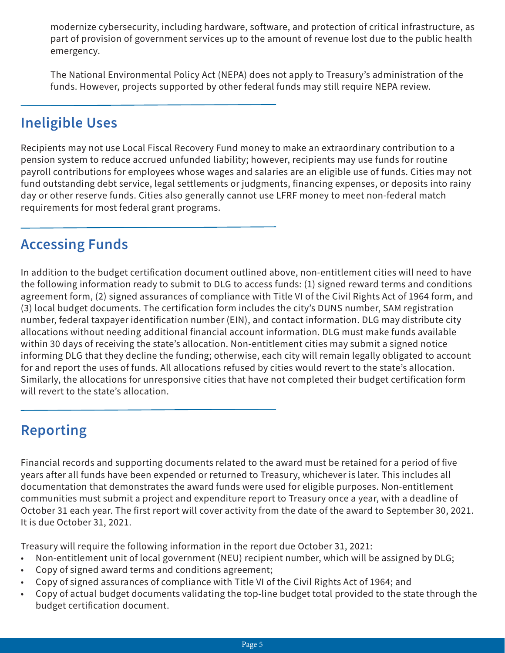modernize cybersecurity, including hardware, software, and protection of critical infrastructure, as part of provision of government services up to the amount of revenue lost due to the public health emergency.

The National Environmental Policy Act (NEPA) does not apply to Treasury's administration of the funds. However, projects supported by other federal funds may still require NEPA review.

### **Ineligible Uses**

Recipients may not use Local Fiscal Recovery Fund money to make an extraordinary contribution to a pension system to reduce accrued unfunded liability; however, recipients may use funds for routine payroll contributions for employees whose wages and salaries are an eligible use of funds. Cities may not fund outstanding debt service, legal settlements or judgments, financing expenses, or deposits into rainy day or other reserve funds. Cities also generally cannot use LFRF money to meet non-federal match requirements for most federal grant programs.

### **Accessing Funds**

In addition to the budget certification document outlined above, non-entitlement cities will need to have the following information ready to submit to DLG to access funds: (1) signed reward terms and conditions agreement form, (2) signed assurances of compliance with Title VI of the Civil Rights Act of 1964 form, and (3) local budget documents. The certification form includes the city's DUNS number, SAM registration number, federal taxpayer identification number (EIN), and contact information. DLG may distribute city allocations without needing additional financial account information. DLG must make funds available within 30 days of receiving the state's allocation. Non-entitlement cities may submit a signed notice informing DLG that they decline the funding; otherwise, each city will remain legally obligated to account for and report the uses of funds. All allocations refused by cities would revert to the state's allocation. Similarly, the allocations for unresponsive cities that have not completed their budget certification form will revert to the state's allocation.

## **Reporting**

Financial records and supporting documents related to the award must be retained for a period of five years after all funds have been expended or returned to Treasury, whichever is later. This includes all documentation that demonstrates the award funds were used for eligible purposes. Non-entitlement communities must submit a project and expenditure report to Treasury once a year, with a deadline of October 31 each year. The first report will cover activity from the date of the award to September 30, 2021. It is due October 31, 2021.

Treasury will require the following information in the report due October 31, 2021:

- Non-entitlement unit of local government (NEU) recipient number, which will be assigned by DLG;
- Copy of signed award terms and conditions agreement;
- Copy of signed assurances of compliance with Title VI of the Civil Rights Act of 1964; and
- Copy of actual budget documents validating the top-line budget total provided to the state through the budget certification document.